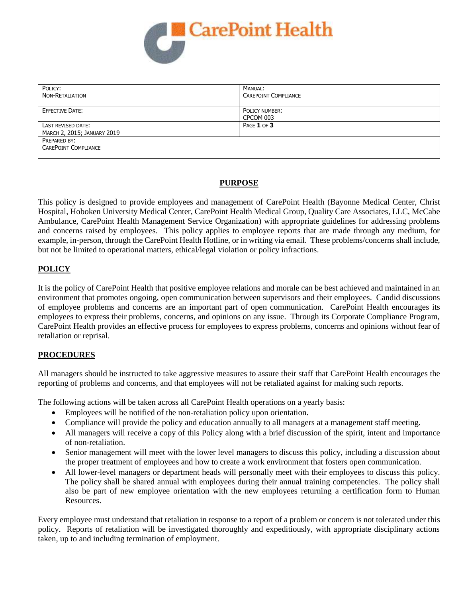

| POLICY:<br>NON-RETALIATION  | MANUAL:<br><b>CAREPOINT COMPLIANCE</b> |
|-----------------------------|----------------------------------------|
| <b>EFFECTIVE DATE:</b>      | POLICY NUMBER:<br>CPCOM 003            |
| LAST REVISED DATE:          | PAGE 1 OF 3                            |
| MARCH 2, 2015; JANUARY 2019 |                                        |
| PREPARED BY:                |                                        |
| <b>CAREPOINT COMPLIANCE</b> |                                        |
|                             |                                        |

### **PURPOSE**

This policy is designed to provide employees and management of CarePoint Health (Bayonne Medical Center, Christ Hospital, Hoboken University Medical Center, CarePoint Health Medical Group, Quality Care Associates, LLC, McCabe Ambulance, CarePoint Health Management Service Organization) with appropriate guidelines for addressing problems and concerns raised by employees. This policy applies to employee reports that are made through any medium, for example, in-person, through the CarePoint Health Hotline, or in writing via email. These problems/concerns shall include, but not be limited to operational matters, ethical/legal violation or policy infractions.

### **POLICY**

It is the policy of CarePoint Health that positive employee relations and morale can be best achieved and maintained in an environment that promotes ongoing, open communication between supervisors and their employees. Candid discussions of employee problems and concerns are an important part of open communication. CarePoint Health encourages its employees to express their problems, concerns, and opinions on any issue. Through its Corporate Compliance Program, CarePoint Health provides an effective process for employees to express problems, concerns and opinions without fear of retaliation or reprisal.

## **PROCEDURES**

All managers should be instructed to take aggressive measures to assure their staff that CarePoint Health encourages the reporting of problems and concerns, and that employees will not be retaliated against for making such reports.

The following actions will be taken across all CarePoint Health operations on a yearly basis:

- Employees will be notified of the non-retaliation policy upon orientation.
- Compliance will provide the policy and education annually to all managers at a management staff meeting.
- All managers will receive a copy of this Policy along with a brief discussion of the spirit, intent and importance of non-retaliation.
- Senior management will meet with the lower level managers to discuss this policy, including a discussion about the proper treatment of employees and how to create a work environment that fosters open communication.
- All lower-level managers or department heads will personally meet with their employees to discuss this policy. The policy shall be shared annual with employees during their annual training competencies. The policy shall also be part of new employee orientation with the new employees returning a certification form to Human Resources.

Every employee must understand that retaliation in response to a report of a problem or concern is not tolerated under this policy. Reports of retaliation will be investigated thoroughly and expeditiously, with appropriate disciplinary actions taken, up to and including termination of employment.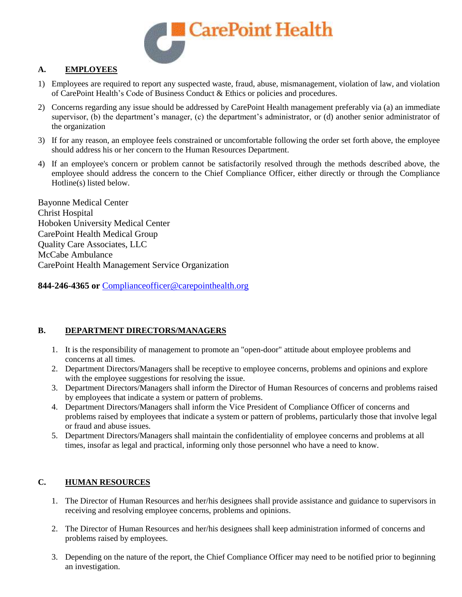

# **A. EMPLOYEES**

- 1) Employees are required to report any suspected waste, fraud, abuse, mismanagement, violation of law, and violation of CarePoint Health's Code of Business Conduct & Ethics or policies and procedures.
- 2) Concerns regarding any issue should be addressed by CarePoint Health management preferably via (a) an immediate supervisor, (b) the department's manager, (c) the department's administrator, or (d) another senior administrator of the organization
- 3) If for any reason, an employee feels constrained or uncomfortable following the order set forth above, the employee should address his or her concern to the Human Resources Department.
- 4) If an employee's concern or problem cannot be satisfactorily resolved through the methods described above, the employee should address the concern to the Chief Compliance Officer, either directly or through the Compliance Hotline(s) listed below.

Bayonne Medical Center Christ Hospital Hoboken University Medical Center CarePoint Health Medical Group Quality Care Associates, LLC McCabe Ambulance CarePoint Health Management Service Organization

**844-246-4365 or** [Complianceofficer@carepointhealth.org](mailto:Complianceofficer@carepointhealth.org)

## **B. DEPARTMENT DIRECTORS/MANAGERS**

- 1. It is the responsibility of management to promote an "open-door" attitude about employee problems and concerns at all times.
- 2. Department Directors/Managers shall be receptive to employee concerns, problems and opinions and explore with the employee suggestions for resolving the issue.
- 3. Department Directors/Managers shall inform the Director of Human Resources of concerns and problems raised by employees that indicate a system or pattern of problems.
- 4. Department Directors/Managers shall inform the Vice President of Compliance Officer of concerns and problems raised by employees that indicate a system or pattern of problems, particularly those that involve legal or fraud and abuse issues.
- 5. Department Directors/Managers shall maintain the confidentiality of employee concerns and problems at all times, insofar as legal and practical, informing only those personnel who have a need to know.

# **C. HUMAN RESOURCES**

- 1. The Director of Human Resources and her/his designees shall provide assistance and guidance to supervisors in receiving and resolving employee concerns, problems and opinions.
- 2. The Director of Human Resources and her/his designees shall keep administration informed of concerns and problems raised by employees.
- 3. Depending on the nature of the report, the Chief Compliance Officer may need to be notified prior to beginning an investigation.